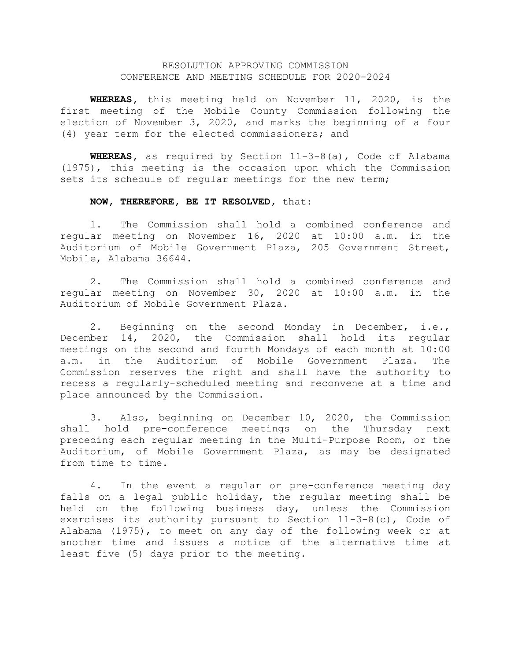## RESOLUTION APPROVING COMMISSION CONFERENCE AND MEETING SCHEDULE FOR 2020-2024

**WHEREAS,** this meeting held on November 11, 2020, is the first meeting of the Mobile County Commission following the election of November 3, 2020, and marks the beginning of a four (4) year term for the elected commissioners; and

**WHEREAS,** as required by Section 11-3-8(a), Code of Alabama (1975), this meeting is the occasion upon which the Commission sets its schedule of regular meetings for the new term;

## **NOW, THEREFORE, BE IT RESOLVED,** that:

1. The Commission shall hold a combined conference and regular meeting on November 16, 2020 at 10:00 a.m. in the Auditorium of Mobile Government Plaza, 205 Government Street, Mobile, Alabama 36644.

2. The Commission shall hold a combined conference and regular meeting on November 30, 2020 at 10:00 a.m. in the Auditorium of Mobile Government Plaza.

2. Beginning on the second Monday in December, i.e., December 14, 2020, the Commission shall hold its regular meetings on the second and fourth Mondays of each month at 10:00 a.m. in the Auditorium of Mobile Government Plaza. The Commission reserves the right and shall have the authority to recess a regularly-scheduled meeting and reconvene at a time and place announced by the Commission.

3. Also, beginning on December 10, 2020, the Commission shall hold pre-conference meetings on the Thursday next preceding each regular meeting in the Multi-Purpose Room, or the Auditorium, of Mobile Government Plaza, as may be designated from time to time.

4. In the event a regular or pre-conference meeting day falls on a legal public holiday, the regular meeting shall be held on the following business day, unless the Commission exercises its authority pursuant to Section 11-3-8(c), Code of Alabama (1975), to meet on any day of the following week or at another time and issues a notice of the alternative time at least five (5) days prior to the meeting.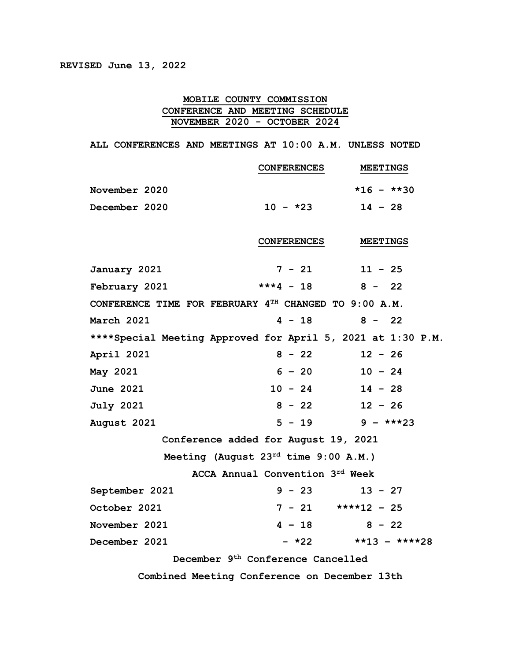## **MOBILE COUNTY COMMISSION CONFERENCE AND MEETING SCHEDULE NOVEMBER 2020 - OCTOBER 2024**

**ALL CONFERENCES AND MEETINGS AT 10:00 A.M. UNLESS NOTED**

|                                                             | <b>CONFERENCES</b>              | <b>MEETINGS</b>           |  |  |
|-------------------------------------------------------------|---------------------------------|---------------------------|--|--|
| November 2020                                               |                                 | $*16 - **30$              |  |  |
| December 2020                                               | $10 - *23$                      | $14 - 28$                 |  |  |
|                                                             |                                 |                           |  |  |
|                                                             | <b>CONFERENCES</b>              | <b>MEETINGS</b>           |  |  |
| January 2021                                                | $7 - 21$                        | $11 - 25$                 |  |  |
| February 2021                                               | $***4 - 18$ 8 - 22              |                           |  |  |
| CONFERENCE TIME FOR FEBRUARY $4^{TH}$ CHANGED TO 9:00 A.M.  |                                 |                           |  |  |
| March 2021                                                  | $4 - 18$                        | $8 - 22$                  |  |  |
| ****Special Meeting Approved for April 5, 2021 at 1:30 P.M. |                                 |                           |  |  |
| April 2021                                                  | $8 - 22$                        | $12 - 26$                 |  |  |
| May 2021                                                    | $6 - 20$                        | $10 - 24$                 |  |  |
| <b>June 2021</b>                                            | $10 - 24$ $14 - 28$             |                           |  |  |
| <b>July 2021</b>                                            | $8 - 22$                        | $12 - 26$                 |  |  |
| August 2021                                                 | $5 - 19$ 9 - ***23              |                           |  |  |
| Conference added for August 19, 2021                        |                                 |                           |  |  |
| Meeting (August $23^{rd}$ time $9:00$ A.M.)                 |                                 |                           |  |  |
|                                                             | ACCA Annual Convention 3rd Week |                           |  |  |
| September 2021                                              | $9 - 23$                        | $13 - 27$                 |  |  |
| October 2021                                                | $7 - 21$ ****12 - 25            |                           |  |  |
| November 2021                                               | $4 - 18$                        | $8 - 22$                  |  |  |
| December 2021                                               |                                 | $- *22$ $* *13 - * * *28$ |  |  |
| December 9th Conference Cancelled                           |                                 |                           |  |  |
| Combined Meeting Conference on December 13th                |                                 |                           |  |  |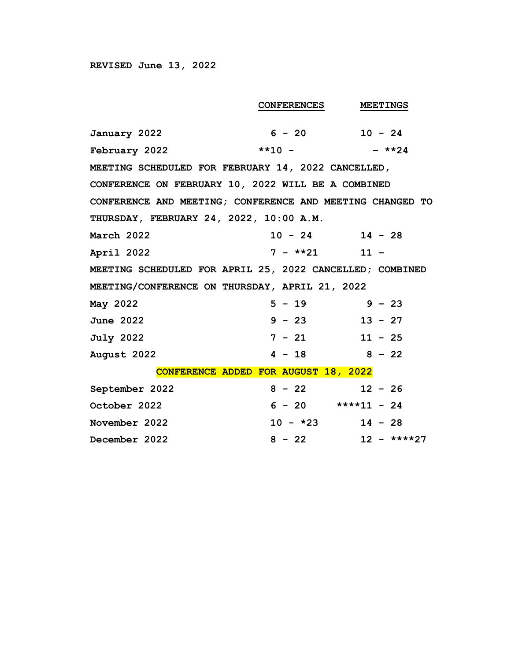|                                                           | <b>CONFERENCES</b>                                 | <b>MEETINGS</b> |  |  |  |
|-----------------------------------------------------------|----------------------------------------------------|-----------------|--|--|--|
| January 2022                                              | $6 - 20$ 10 $- 24$                                 |                 |  |  |  |
| February 2022                                             | $***10  ***24$                                     |                 |  |  |  |
| MEETING SCHEDULED FOR FEBRUARY 14, 2022 CANCELLED,        |                                                    |                 |  |  |  |
|                                                           | CONFERENCE ON FEBRUARY 10, 2022 WILL BE A COMBINED |                 |  |  |  |
| CONFERENCE AND MEETING; CONFERENCE AND MEETING CHANGED TO |                                                    |                 |  |  |  |
| THURSDAY, FEBRUARY 24, 2022, 10:00 A.M.                   |                                                    |                 |  |  |  |
| March 2022                                                | $10 - 24$                                          | $14 - 28$       |  |  |  |
| April 2022                                                | $7 - *21$ 11 -                                     |                 |  |  |  |
| MEETING SCHEDULED FOR APRIL 25, 2022 CANCELLED; COMBINED  |                                                    |                 |  |  |  |
| MEETING/CONFERENCE ON THURSDAY, APRIL 21, 2022            |                                                    |                 |  |  |  |
| May 2022                                                  | $5 - 19$                                           | $9 - 23$        |  |  |  |
| <b>June 2022</b>                                          | $9 - 23$                                           | $13 - 27$       |  |  |  |
| <b>July 2022</b>                                          | $7 - 21$                                           | $11 - 25$       |  |  |  |
| August 2022                                               | $4 - 18$ $8 - 22$                                  |                 |  |  |  |
| CONFERENCE ADDED FOR AUGUST 18, 2022                      |                                                    |                 |  |  |  |
| September 2022                                            | $8 - 22$                                           | $12 - 26$       |  |  |  |
| October 2022                                              | $6 - 20$ ****11 - 24                               |                 |  |  |  |
| November 2022                                             | $10 - *23$                                         | $14 - 28$       |  |  |  |
| December 2022                                             | $8 - 22$                                           | $12 - ***27$    |  |  |  |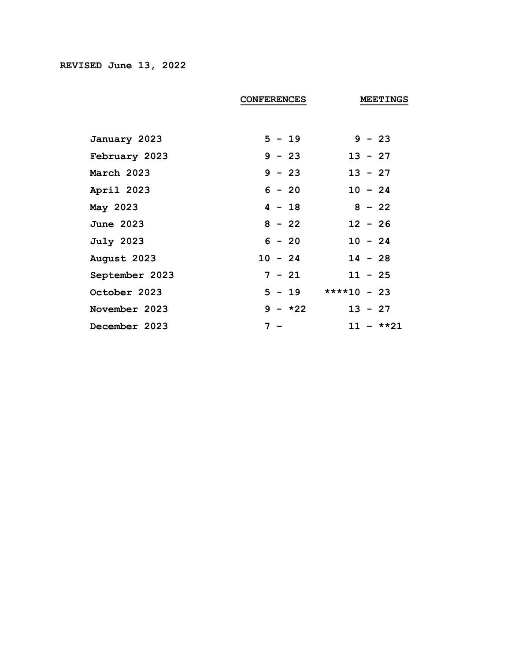|                  | <b>CONFERENCES</b> | <b>MEETINGS</b>      |
|------------------|--------------------|----------------------|
|                  |                    |                      |
| January 2023     | $5 - 19$           | $9 - 23$             |
| February 2023    | $9 - 23$           | $13 - 27$            |
| March 2023       | $9 - 23$           | $13 - 27$            |
| April 2023       | $6 - 20$           | $10 - 24$            |
| May 2023         | $4 - 18$           | $8 - 22$             |
| <b>June 2023</b> | $8 - 22$           | $12 - 26$            |
| <b>July 2023</b> | $6 - 20$           | $10 - 24$            |
| August 2023      | $10 - 24$          | $14 - 28$            |
| September 2023   | $7 - 21$           | $11 - 25$            |
| October 2023     |                    | $5 - 19$ ****10 - 23 |
| November 2023    | $9 - *22$          | $13 - 27$            |
| December 2023    | $7 -$              | $11 - **21$          |